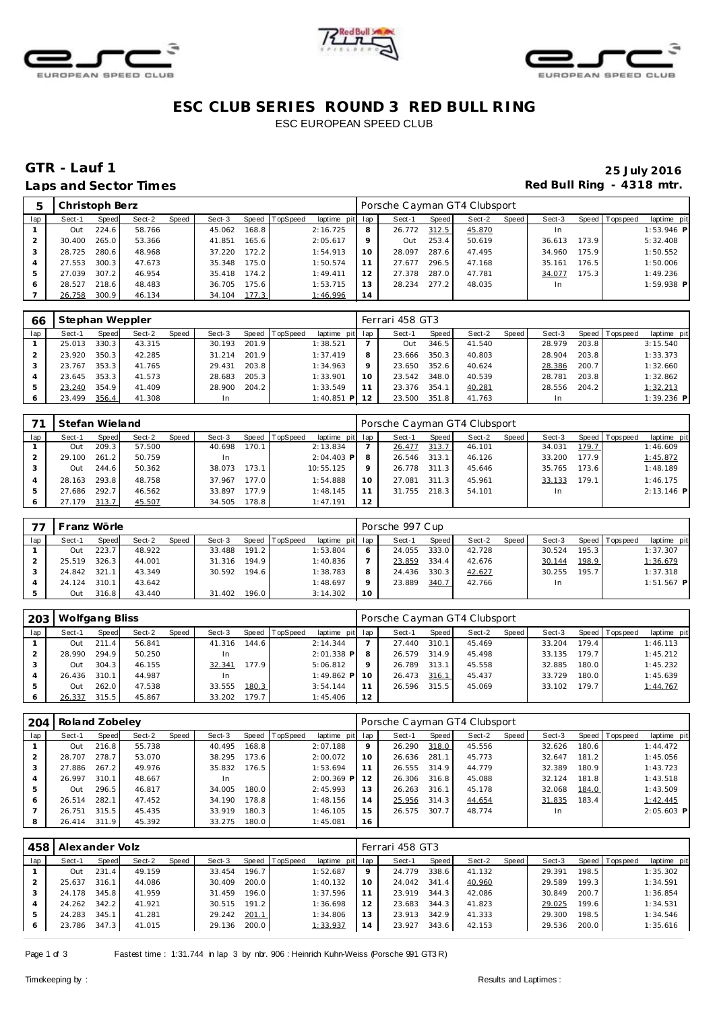





# **ESC CLUB SERIES ROUND 3 RED BULL RING** ESC EUROPEAN SPEED CLUB

# **GTR - Lauf 1 25 July 2016** Laps and Sector Times **Red Bull Ring - 4318 mtr.**

|     | Christoph Berz |       |        |       |        |       |                |                 |    | Porsche Cayman GT4 Clubsport |       |        |       |        |       |                 |              |
|-----|----------------|-------|--------|-------|--------|-------|----------------|-----------------|----|------------------------------|-------|--------|-------|--------|-------|-----------------|--------------|
| lap | Sect-1         | Speed | Sect-2 | Speed | Sect-3 |       | Speed TopSpeed | laptime pit lap |    | Sect-1                       | Speed | Sect-2 | Speed | Sect-3 |       | Speed Tops peed | laptime pit  |
|     | Out            | 224.6 | 58.766 |       | 45.062 | 168.8 |                | 2:16.725        | 8  | 26.772                       | 312.5 | 45.870 |       | In.    |       |                 | $1:53.946$ P |
|     | 30.400         | 265.0 | 53.366 |       | 41.851 | 165.6 |                | 2:05.617        | 9  | Out                          | 253.4 | 50.619 |       | 36.613 | 173.9 |                 | 5:32.408     |
|     | 28.725         | 280.6 | 48.968 |       | 37.220 | 172.2 |                | 1:54.913        | 10 | 28.097                       | 287.6 | 47.495 |       | 34.960 | 175.9 |                 | 1:50.552     |
| 4   | 27.553         | 300.3 | 47.673 |       | 35.348 | 175.0 |                | 1:50.574        |    | 27.677                       | 296.5 | 47.168 |       | 35.161 | 176.5 |                 | 1:50.006     |
| .5  | 27.039         | 307.2 | 46.954 |       | 35.418 | 174.2 |                | 1:49.411        | 12 | 27.378                       | 287.0 | 47.781 |       | 34.077 | 175.3 |                 | 1:49.236     |
|     | 28.527         | 218.6 | 48.483 |       | 36.705 | 175.6 |                | 1:53.715        | 13 | 28.234                       | 277.2 | 48.035 |       | In     |       |                 | $1:59.938$ P |
|     | 26.758         | 300.9 | 46.134 |       | 34.104 | 177.3 |                | 1:46.996        | 14 |                              |       |        |       |        |       |                 |              |

| 66  | Stephan Weppler |       |        |       |        |       |                |                 |         | Ferrari 458 GT3 |       |        |       |        |       |                |              |
|-----|-----------------|-------|--------|-------|--------|-------|----------------|-----------------|---------|-----------------|-------|--------|-------|--------|-------|----------------|--------------|
| lap | Sect-1          | Speed | Sect-2 | Speed | Sect-3 |       | Speed TopSpeed | laptime pit lap |         | Sect-1          | Speed | Sect-2 | Speed | Sect-3 |       | Speed Topspeed | laptime pit  |
|     | 25.013          | 330.3 | 43.315 |       | 30.193 | 201.9 |                | 1:38.521        |         | Out             | 346.5 | 41.540 |       | 28.979 | 203.8 |                | 3:15.540     |
|     | 23.920          | 350.3 | 42.285 |       | 31.214 | 201.9 |                | 1:37.419        |         | 23.666          | 350.3 | 40.803 |       | 28.904 | 203.8 |                | 1:33.373     |
|     | 23.767          | 353.3 | 41.765 |       | 29.431 | 203.8 |                | 1:34.963        | $\circ$ | 23.650          | 352.6 | 40.624 |       | 28.386 | 200.7 |                | 1:32.660     |
|     | 23.645          | 353.3 | 41.573 |       | 28.683 | 205.3 |                | 1:33.901        | 10      | 23.542          | 348.0 | 40.539 |       | 28.781 | 203.8 |                | 1:32.862     |
|     | 23.240          | 354.9 | 41.409 |       | 28.900 | 204.2 |                | 1:33.549        |         | 23.376          | 354.1 | 40.281 |       | 28.556 | 204.2 |                | 1:32.213     |
|     | 23.499          | 356.4 | 41.308 |       |        |       |                | $1:40.851$ P    |         | 23.500          | 351.8 | 41.763 |       |        |       |                | $1:39.236$ P |

|     | Stefan Wieland |       |        |       |        |       |                |                 |    | Porsche Cayman GT4 Clubsport |       |        |       |        |       |                 |              |
|-----|----------------|-------|--------|-------|--------|-------|----------------|-----------------|----|------------------------------|-------|--------|-------|--------|-------|-----------------|--------------|
| lap | Sect-1         | Speed | Sect-2 | Speed | Sect-3 |       | Speed TopSpeed | laptime pit lap |    | Sect-1                       | Speed | Sect-2 | Speed | Sect-3 |       | Speed Tops peed | laptime pit  |
|     | Out            | 209.3 | 57.500 |       | 40.698 | 170.1 |                | 2:13.834        |    | 26.477                       | 313.7 | 46.101 |       | 34.031 | 179.7 |                 | 1:46.609     |
|     | 29.100         | 261.2 | 50.759 |       | 1n     |       |                | $2:04.403$ P    | 8  | 26.546                       | 313.1 | 46.126 |       | 33.200 | 177.9 |                 | 1:45.872     |
|     | Out            | 244.6 | 50.362 |       | 38.073 | 173.1 |                | 10:55.125       | Q  | 26.778                       | 311.3 | 45.646 |       | 35.765 | 173.6 |                 | 1:48.189     |
|     | 28.163         | 293.8 | 48.758 |       | 37.967 | 177.0 |                | 1:54.888        | 10 | 27.081                       | 311.3 | 45.961 |       | 33.133 | 179.1 |                 | 1:46.175     |
|     | 27.686         | 292.7 | 46.562 |       | 33.897 | 177.9 |                | 1:48.145        |    | 31.755                       | 218.3 | 54.101 |       | In.    |       |                 | $2:13.146$ P |
|     | 27.179         | 313.7 | 45.507 |       | 34.505 | 178.8 |                | 1:47.191        | 12 |                              |       |        |       |        |       |                 |              |

|     | Franz Wörle |       |        |       |        |       |                |                 |    | Porsche 997 Cup |       |        |       |        |       |                 |              |
|-----|-------------|-------|--------|-------|--------|-------|----------------|-----------------|----|-----------------|-------|--------|-------|--------|-------|-----------------|--------------|
| lap | Sect-1      | Speed | Sect-2 | Speed | Sect-3 |       | Speed TopSpeed | laptime pit lap |    | Sect-1          | Speed | Sect-2 | Speed | Sect-3 |       | Speed Tops peed | laptime pit  |
|     | Out         | 223.7 | 48.922 |       | 33.488 | 191.2 |                | 1:53.804        | 6  | 24.055          | 333.0 | 42.728 |       | 30.524 | 195.3 |                 | 1:37.307     |
|     | 25.519      | 326.3 | 44.001 |       | 31.316 | 194.9 |                | 1:40.836        |    | 23.859          | 334.4 | 42.676 |       | 30.144 | 198.9 |                 | 1:36.679     |
|     | 24.842      | 321.1 | 43.349 |       | 30.592 | 194.6 |                | 1:38.783        | 8  | 24.436          | 330.3 | 42.627 |       | 30.255 | 195.7 |                 | 1:37.318     |
|     | 24.124      | 310.1 | 43.642 |       |        |       |                | 1:48.697        | Q  | 23.889          | 340.7 | 42.766 |       | In.    |       |                 | $1:51.567$ P |
|     | Out         | 316.8 | 43.440 |       | 31.402 | 196.0 |                | 3:14.302        | 10 |                 |       |        |       |        |       |                 |              |

| 203 | Wolfgang Bliss |       |        |       |        |       |          |                 |    | Porsche Cayman GT4 Clubsport |       |        |       |        |       |                |             |
|-----|----------------|-------|--------|-------|--------|-------|----------|-----------------|----|------------------------------|-------|--------|-------|--------|-------|----------------|-------------|
| lap | Sect-1         | Speed | Sect-2 | Speed | Sect-3 | Speed | TopSpeed | laptime pit lap |    | Sect-1                       | Speed | Sect-2 | Speed | Sect-3 |       | Speed Topspeed | laptime pit |
|     | Out            | 211.4 | 56.841 |       | 41.316 | 144.6 |          | 2:14.344        |    | 27.440                       | 310.1 | 45.469 |       | 33.204 | 179.4 |                | 1:46.113    |
|     | 28.990         | 294.9 | 50.250 |       |        |       |          | $2:01.338$ P    | 8  | 26.579                       | 314.9 | 45.498 |       | 33.135 | 179.7 |                | 1:45.212    |
|     | Out            | 304.3 | 46.155 |       | 32.341 | 177.9 |          | 5:06.812        |    | 26.789                       | 313.1 | 45.558 |       | 32.885 | 180.0 |                | 1:45.232    |
|     | 26.436         | 310.1 | 44.987 |       |        |       |          | $1:49.862$ P 10 |    | 26.473                       | 316.1 | 45.437 |       | 33.729 | 180.0 |                | 1:45.639    |
|     | Out            | 262.0 | 47.538 |       | 33.555 | 180.3 |          | 3:54.144        |    | 26.596                       | 315.5 | 45.069 |       | 33.102 | 179.7 |                | 1:44.767    |
|     | 26.337         | 315.5 | 45.867 |       | 33.202 | 179.7 |          | 1:45.406        | 12 |                              |       |        |       |        |       |                |             |

| 204 | Roland Zobeley |       |        |       |        |       |          |                 |    | Porsche Cayman GT4 Clubsport |       |        |       |        |       |                |              |
|-----|----------------|-------|--------|-------|--------|-------|----------|-----------------|----|------------------------------|-------|--------|-------|--------|-------|----------------|--------------|
| lap | Sect-1         | Speed | Sect-2 | Speed | Sect-3 | Speed | TopSpeed | laptime pit lap |    | Sect-1                       | Speed | Sect-2 | Speed | Sect-3 |       | Speed Topspeed | laptime pit  |
|     | Out            | 216.8 | 55.738 |       | 40.495 | 168.8 |          | 2:07.188        | 9  | 26.290                       | 318.0 | 45.556 |       | 32.626 | 180.6 |                | 1:44.472     |
|     | 28.707         | 278.7 | 53.070 |       | 38.295 | 173.6 |          | 2:00.072        | 10 | 26.636                       | 281.1 | 45.773 |       | 32.647 | 181.2 |                | 1:45.056     |
|     | 27.886         | 267.2 | 49.976 |       | 35.832 | 176.5 |          | 1:53.694        | 11 | 26.555                       | 314.9 | 44.779 |       | 32.389 | 180.9 |                | 1:43.723     |
|     | 26.997         | 310.1 | 48.667 |       | In     |       |          | $2:00.369$ P    |    | 26.306                       | 316.8 | 45.088 |       | 32.124 | 181.8 |                | 1:43.518     |
|     | Out            | 296.5 | 46.817 |       | 34.005 | 180.0 |          | 2:45.993        | 13 | 26.263                       | 316.1 | 45.178 |       | 32.068 | 184.0 |                | 1:43.509     |
|     | 26.514         | 282.  | 47.452 |       | 34.190 | 178.8 |          | 1:48.156        | 14 | 25.956                       | 314.3 | 44.654 |       | 31.835 | 183.4 |                | 1:42.445     |
|     | 26.751         | 315.5 | 45.435 |       | 33.919 | 180.3 |          | 1:46.105        | 15 | 26.575                       | 307.7 | 48.774 |       | In     |       |                | $2:05.603$ P |
|     | 26.414         | 311.9 | 45.392 |       | 33.275 | 180.0 |          | 1:45.081        | 16 |                              |       |        |       |        |       |                |              |

| 458 | Alexander Volz |       |        |       |        |       |                |                 |                | Ferrari 458 GT3 |         |        |       |        |       |                |             |
|-----|----------------|-------|--------|-------|--------|-------|----------------|-----------------|----------------|-----------------|---------|--------|-------|--------|-------|----------------|-------------|
| lap | Sect-1         | Speed | Sect-2 | Speed | Sect-3 |       | Speed TopSpeed | laptime pit lap |                | Sect-1          | Speed I | Sect-2 | Speed | Sect-3 |       | Speed Topspeed | laptime pit |
|     | Out            | 231.4 | 49.159 |       | 33.454 | 196.7 |                | 1:52.687        | 9              | 24.779          | 338.6   | 41.132 |       | 29.391 | 198.5 |                | 1:35.302    |
|     | 25.637         | 316.1 | 44.086 |       | 30.409 | 200.0 |                | 1:40.132        |                | 24.042          | 341.4   | 40.960 |       | 29.589 | 199.3 |                | 1:34.591    |
|     | 24.178         | 345.8 | 41.959 |       | 31.459 | 196.0 |                | 1:37.596        |                | 23.919          | 344.3   | 42.086 |       | 30.849 | 200.7 |                | 1:36.854    |
|     | 24.262         | 342.2 | 41.921 |       | 30.515 | 191.2 |                | 1:36.698        | 12             | 23.683          | 344.3   | 41.823 |       | 29.025 | 199.6 |                | 1:34.531    |
|     | 24.283         | 345.1 | 41.281 |       | 29.242 | 201.1 |                | 1:34.806        | 13             | 23.913          | 342.9   | 41.333 |       | 29.300 | 198.5 |                | 1:34.546    |
| 6   | 23.786         | 347.3 | 41.015 |       | 29.136 | 200.0 |                | 1:33.937        | $\overline{4}$ | 23.927          | 343.6   | 42.153 |       | 29.536 | 200.0 |                | 1:35.616    |

Page 1 of 3 Fastest time : 1:31.744 in lap 3 by nbr. 906 : Heinrich Kuhn-Weiss (Porsche 991 GT3 R)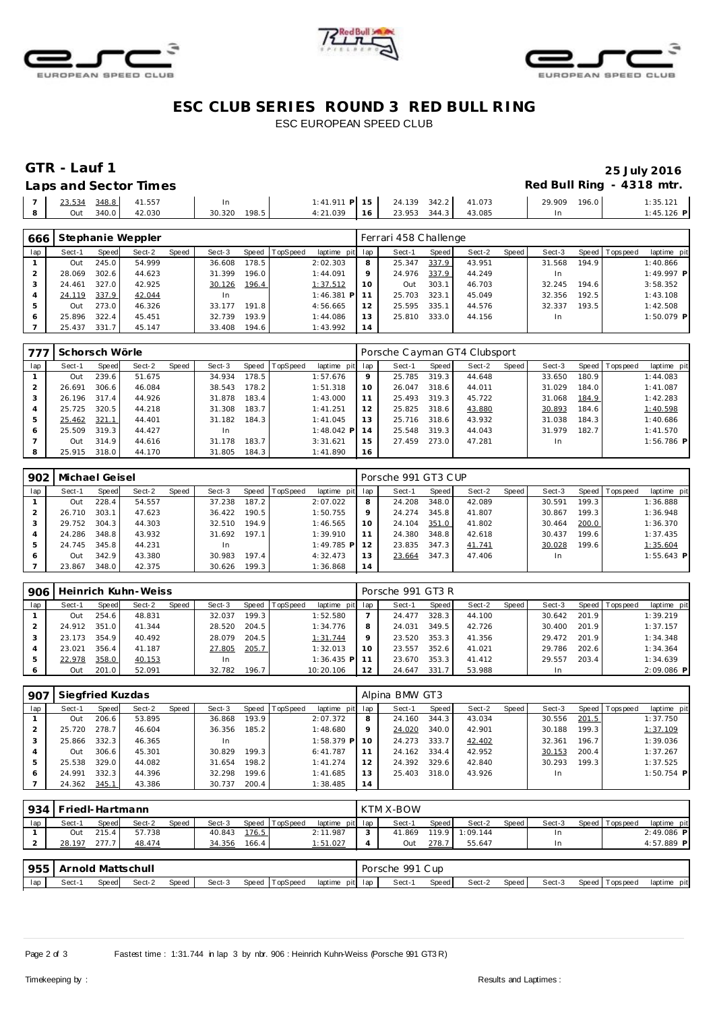





# **ESC CLUB SERIES ROUND 3 RED BULL RING** ESC EUROPEAN SPEED CLUB

### **GTR** - Lauf 1 25 July 2016<br>
Laps and Sector Times **1988 Contract 2016 Laps and Sector Times Red Bull Ring - 4318 mtr.**

|       |                       | Laps and scoton innes |              |  |                                       |  |              |              |
|-------|-----------------------|-----------------------|--------------|--|---------------------------------------|--|--------------|--------------|
|       | 7 23.534 348.8 41.557 |                       |              |  | $1:41.911$ P $15$ 24.139 342.2 41.073 |  | 29.909 196.0 | 1:35.121     |
| - 8 - |                       | Out 340.0 42.030      | 30.320 198.5 |  | 4:21.039  16  23.953  344.3  43.085   |  |              | $1:45.126$ P |

| 666          |        |       | Stephanie Weppler |       |        |       |          |                 |    | Ferrari 458 Challenge |       |        |       |        |       |                 |              |
|--------------|--------|-------|-------------------|-------|--------|-------|----------|-----------------|----|-----------------------|-------|--------|-------|--------|-------|-----------------|--------------|
| lap          | Sect-1 | Speed | Sect-2            | Speed | Sect-3 | Speed | TopSpeed | laptime pit lap |    | Sect-1                | Speed | Sect-2 | Speed | Sect-3 |       | Speed Tops peed | laptime pit  |
|              | Out    | 245.0 | 54.999            |       | 36.608 | 178.5 |          | 2:02.303        | 8  | 25.347                | 337.9 | 43.951 |       | 31.568 | 194.9 |                 | 1:40.866     |
|              | 28.069 | 302.6 | 44.623            |       | 31.399 | 196.0 |          | 1:44.091        | Q  | 24.976                | 337.9 | 44.249 |       | In     |       |                 | 1:49.997 P   |
|              | 24.461 | 327.0 | 42.925            |       | 30.126 | 196.4 |          | 1:37.512        | 10 | Out                   | 303.1 | 46.703 |       | 32.245 | 194.6 |                 | 3:58.352     |
|              | 24.119 | 337.9 | 42.044            |       | -In    |       |          | $1:46.381$ P    |    | 25.703                | 323.1 | 45.049 |       | 32.356 | 192.5 |                 | 1:43.108     |
| 5            | Out    | 273.0 | 46.326            |       | 33.177 | 191.8 |          | 4:56.665        | 12 | 25.595                | 335.1 | 44.576 |       | 32.337 | 193.5 |                 | 1:42.508     |
| <sup>6</sup> | 25.896 | 322.4 | 45.451            |       | 32.739 | 193.9 |          | 1:44.086        | 13 | 25.810                | 333.0 | 44.156 |       | In.    |       |                 | $1:50.079$ P |
|              | 25.437 | 331.7 | 45.147            |       | 33.408 | 194.6 |          | 1:43.992        | 14 |                       |       |        |       |        |       |                 |              |

| 777 | Schorsch Wörle |       |        |       |        |       |                 |             |     | Porsche Cayman GT4 Clubsport |       |        |       |        |       |                |              |
|-----|----------------|-------|--------|-------|--------|-------|-----------------|-------------|-----|------------------------------|-------|--------|-------|--------|-------|----------------|--------------|
| lap | Sect-1         | Speed | Sect-2 | Speed | Sect-3 | Speed | <b>TopSpeed</b> | laptime pit | lap | Sect-1                       | Speed | Sect-2 | Speed | Sect-3 |       | Speed Topspeed | laptime pit  |
|     | Out            | 239.6 | 51.675 |       | 34.934 | 178.5 |                 | 1:57.676    | 9   | 25.785                       | 319.3 | 44.648 |       | 33.650 | 180.9 |                | 1:44.083     |
|     | 26.691         | 306.6 | 46.084 |       | 38.543 | 178.2 |                 | 1:51.318    | 10  | 26.047                       | 318.6 | 44.011 |       | 31.029 | 184.0 |                | 1:41.087     |
|     | 26.196         | 317.4 | 44.926 |       | 31.878 | 183.4 |                 | 1:43.000    |     | 25.493                       | 319.3 | 45.722 |       | 31.068 | 184.9 |                | 1:42.283     |
|     | 25.725         | 320.5 | 44.218 |       | 31.308 | 183.7 |                 | 1:41.251    | 12  | 25.825 318.6                 |       | 43.880 |       | 30.893 | 184.6 |                | 1:40.598     |
|     | 25.462         | 321.1 | 44.401 |       | 31.182 | 184.3 |                 | 1:41.045    | 13  | 25.716                       | 318.6 | 43.932 |       | 31.038 | 184.3 |                | 1:40.686     |
| 6   | 25.509         | 319.3 | 44.427 |       | -In    |       |                 | 1:48.042 PI | 14  | 25.548                       | 319.3 | 44.043 |       | 31.979 | 182.7 |                | 1:41.570     |
|     | Out            | 314.9 | 44.616 |       | 31.178 | 183.7 |                 | 3:31.621    | 15  | 27.459                       | 273.0 | 47.281 |       | In     |       |                | $1:56.786$ P |
|     | 25.915         | 318.0 | 44.170 |       | 31.805 | 184.3 |                 | 1:41.890    | 16  |                              |       |        |       |        |       |                |              |

| 902 | Michael Geisel |       |        |       |           |       |                |               |     | Porsche 991 GT3 CUP |       |        |       |        |        |                 |              |
|-----|----------------|-------|--------|-------|-----------|-------|----------------|---------------|-----|---------------------|-------|--------|-------|--------|--------|-----------------|--------------|
| lap | Sect-1         | Speed | Sect-2 | Speed | Sect-3    |       | Speed TopSpeed | laptime pit   | lap | Sect-1              | Speed | Sect-2 | Speed | Sect-3 |        | Speed Tops peed | laptime pit  |
|     | Out            | 228.4 | 54.557 |       | 37.238    | 187.2 |                | 2:07.022      | 8   | 24.208              | 348.0 | 42.089 |       | 30.591 | 199.3. |                 | 1:36.888     |
|     | 26.710         | 303.1 | 47.623 |       | 36.422    | 190.5 |                | 1:50.755      | 9   | 24.274              | 345.8 | 41.807 |       | 30.867 | 199.3  |                 | 1:36.948     |
|     | 29.752         | 304.3 | 44.303 |       | 32.510    | 194.9 |                | 1:46.565      | 10  | 24.104              | 351.0 | 41.802 |       | 30.464 | 200.0  |                 | 1:36.370     |
|     | 24.286         | 348.8 | 43.932 |       | 31.692    | 197.1 |                | 1:39.910      | 11  | 24.380              | 348.8 | 42.618 |       | 30.437 | 199.6  |                 | 1:37.435     |
| 5   | 24.745         | 345.8 | 44.231 |       | <b>In</b> |       |                | $1:49.785$ PI | 12  | 23.835              | 347.3 | 41.741 |       | 30.028 | 199.6  |                 | 1:35.604     |
| 6   | Out            | 342.9 | 43.380 |       | 30.983    | 197.4 |                | 4:32.473      | 13  | 23.664              | 347.3 | 47.406 |       | In.    |        |                 | $1:55.643$ P |
|     | 23.867         | 348.0 | 42.375 |       | 30.626    | 199.3 |                | 1:36.868      | 14  |                     |       |        |       |        |        |                 |              |

| 906           |        |          | Heinrich Kuhn-Weiss |       |           |       |                |                 |    | Porsche 991 GT3 R |       |        |       |        |       |                 |             |
|---------------|--------|----------|---------------------|-------|-----------|-------|----------------|-----------------|----|-------------------|-------|--------|-------|--------|-------|-----------------|-------------|
| lap           | Sect-1 | Speed    | Sect-2              | Speed | Sect-3    |       | Speed TopSpeed | laptime pit lap |    | Sect-1            | Speed | Sect-2 | Speed | Sect-3 |       | Speed Tops peed | laptime pit |
|               | Out    | 254<br>6 | 48.831              |       | 32.037    | 199.3 |                | 1:52.580        |    | 24.477            | 328.3 | 44.100 |       | 30.642 | 201.9 |                 | 1:39.219    |
|               | 24.912 | 351.0    | 41.344              |       | 28.520    | 204.5 |                | 1:34.776        | 8  | 24.031            | 349.5 | 42.726 |       | 30.400 | 201.9 |                 | 1:37.157    |
|               | 23.173 | 354.9    | 40.492              |       | 28.079    | 204.5 |                | 1:31.744        | Q  | 23.520            | 353.3 | 41.356 |       | 29.472 | 201.9 |                 | 1:34.348    |
|               | 23.021 | 356.4    | 41.187              |       | 27.805    | 205.7 |                | 1:32.013        | 10 | 23.557            | 352.6 | 41.021 |       | 29.786 | 202.6 |                 | 1:34.364    |
| $\mathcal{P}$ | 22.978 | 358.0    | 40.153              |       | <b>In</b> |       |                | $1:36.435$ P    |    | 23.670            | 353.3 | 41.412 |       | 29.557 | 203.4 |                 | 1:34.639    |
| O             | Out    | 201.0    | 52.091              |       | 32.782    | 196.7 |                | 10:20.106       | 12 | 24.647            | 331.7 | 53.988 |       | In.    |       |                 | 2:09.086 P  |

| 907 | Siegfried Kuzdas |       |        |       |           |                    |                |                 |    | Alpina BMW GT3 |       |        |       |        |       |                |              |  |  |
|-----|------------------|-------|--------|-------|-----------|--------------------|----------------|-----------------|----|----------------|-------|--------|-------|--------|-------|----------------|--------------|--|--|
| lap | Sect-1           | Speed | Sect-2 | Speed | Sect-3    |                    | Speed TopSpeed | laptime pit lap |    | Sect-1         | Speed | Sect-2 | Speed | Sect-3 |       | Speed Topspeed | laptime pit  |  |  |
|     | Out              | 206.6 | 53.895 |       | 36.868    | 193.9 <sub>1</sub> |                | 2:07.372        | 8  | 24.160         | 344.3 | 43.034 |       | 30.556 | 201.5 |                | 1:37.750     |  |  |
|     | 25.720           | 278.7 | 46.604 |       | 36.356    | 185.2              |                | 1:48.680        | 9  | 24.020         | 340.0 | 42.901 |       | 30.188 | 199.3 |                | 1:37.109     |  |  |
|     | 25.866           | 332.3 | 46.365 |       | <b>In</b> |                    |                | $1:58.379$ P    | 10 | 24.273         | 333.7 | 42.402 |       | 32.361 | 196.7 |                | 1:39.036     |  |  |
|     | Out              | 306.6 | 45.301 |       | 30.829    | 199.3              |                | 6:41.787        | 11 | 24.162         | 334.4 | 42.952 |       | 30.153 | 200.4 |                | 1:37.267     |  |  |
|     | 25.538           | 329.0 | 44.082 |       | 31.654    | 198.2              |                | 1:41.274        | 12 | 24.392         | 329.6 | 42.840 |       | 30.293 | 199.3 |                | 1:37.525     |  |  |
| 6   | 24.991           | 332.3 | 44.396 |       | 32.298    | 199.6              |                | 1:41.685        | 13 | 25.403         | 318.0 | 43.926 |       | In.    |       |                | $1:50.754$ P |  |  |
|     | 24.362           | 345.7 | 43.386 |       | 30.737    | 200.4              |                | 1:38.485        | 14 |                |       |        |       |        |       |                |              |  |  |

|     | 934   Friedl-Hartmann    |       |        |       |        |       |                |                 |   | KTM X-BOW       |       |          |       |        |  |                 |              |  |  |
|-----|--------------------------|-------|--------|-------|--------|-------|----------------|-----------------|---|-----------------|-------|----------|-------|--------|--|-----------------|--------------|--|--|
| lap | Sect-1                   | Speed | Sect-2 | Speed | Sect-3 |       | Speed TopSpeed | laptime pit lap |   | Sect-1          | Speed | Sect-2   | Speed | Sect-3 |  | Speed Tops peed | laptime pit  |  |  |
|     | Out                      | 215.4 | 57.738 |       | 40.843 | 176.5 |                | 2:11.987        |   | 41.869          | 119.9 | 1:09.144 |       | In     |  |                 | $2:49.086$ P |  |  |
|     | 28.197                   | 277.7 | 48.474 |       | 34.356 | 166.4 |                | 1:51.027        | 4 | Out             | 278.7 | 55.647   |       | In.    |  |                 | 4:57.889 P   |  |  |
|     |                          |       |        |       |        |       |                |                 |   |                 |       |          |       |        |  |                 |              |  |  |
|     | 955<br>Arnold Mattschull |       |        |       |        |       |                |                 |   | Porsche 991 Cup |       |          |       |        |  |                 |              |  |  |
| lap | Sect-1                   | Speed | Sect-2 | Speed | Sect-3 |       | Speed TopSpeed | laptime pit lap |   | Sect-1          | Speed | Sect-2   | Speed | Sect-3 |  | Speed Topspeed  | laptime pit  |  |  |